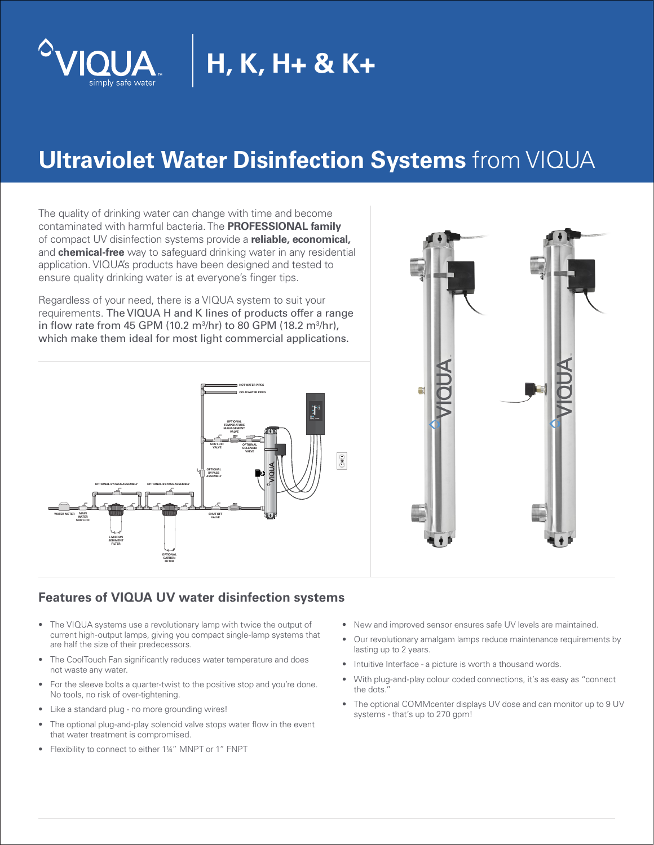

# **H, K, H+ & K+**

## **Ultraviolet Water Disinfection Systems** from VIQUA

The quality of drinking water can change with time and become contaminated with harmful bacteria. The **PROFESSIONAL family** of compact UV disinfection systems provide a **reliable, economical,** and **chemical-free** way to safeguard drinking water in any residential application. VIQUA's products have been designed and tested to ensure quality drinking water is at everyone's finger tips.

Regardless of your need, there is a VIQUA system to suit your requirements. The VIQUA H and K lines of products offer a range in flow rate from 45 GPM (10.2 m<sup>3</sup>/hr) to 80 GPM (18.2 m<sup>3</sup>/hr), which make them ideal for most light commercial applications.





#### **Features of VIQUA UV water disinfection systems**

- The VIQUA systems use a revolutionary lamp with twice the output of current high-output lamps, giving you compact single-lamp systems that are half the size of their predecessors.
- The CoolTouch Fan significantly reduces water temperature and does not waste any water.
- For the sleeve bolts a quarter-twist to the positive stop and you're done. No tools, no risk of over-tightening.
- Like a standard plug no more grounding wires!
- The optional plug-and-play solenoid valve stops water flow in the event that water treatment is compromised.
- Flexibility to connect to either 1¼" MNPT or 1" FNPT
- New and improved sensor ensures safe UV levels are maintained.
- Our revolutionary amalgam lamps reduce maintenance requirements by lasting up to 2 years.
- Intuitive Interface a picture is worth a thousand words.
- With plug-and-play colour coded connections, it's as easy as "connect the dots."
- The optional COMMcenter displays UV dose and can monitor up to 9 UV systems - that's up to 270 gpm!